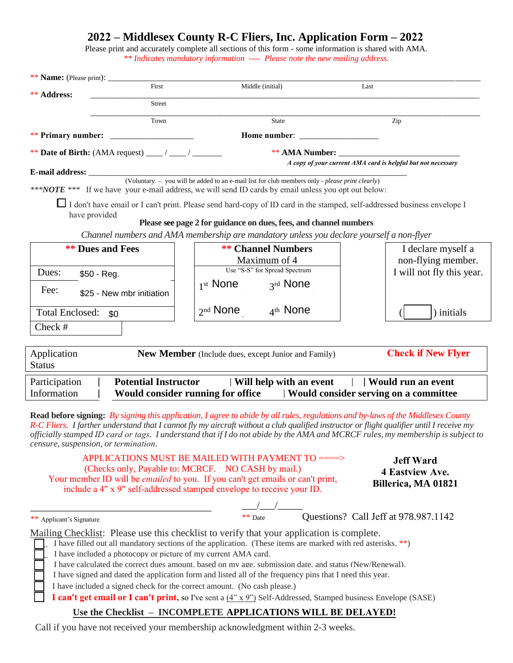## **2022 – Middlesex County R-C Fliers, Inc. Application Form – 2022**

Please print and accurately complete all sections of this form - some information is shared with AMA. *\*\* Indicates mandatory information ---- Please note the new mailing address.* 

| ** Name: (Please print): __                                                                                                                                                                                                                                                                                                                                                                                                                                                                                                                                                                                                                                                                                                                                                                                                                                                        |                             |                                                                                                                                                                                                                                                                                                                                                                                                                                                                                                                                                                                                                                                                   |                               |      |                                                                                                                          |  |  |  |  |
|------------------------------------------------------------------------------------------------------------------------------------------------------------------------------------------------------------------------------------------------------------------------------------------------------------------------------------------------------------------------------------------------------------------------------------------------------------------------------------------------------------------------------------------------------------------------------------------------------------------------------------------------------------------------------------------------------------------------------------------------------------------------------------------------------------------------------------------------------------------------------------|-----------------------------|-------------------------------------------------------------------------------------------------------------------------------------------------------------------------------------------------------------------------------------------------------------------------------------------------------------------------------------------------------------------------------------------------------------------------------------------------------------------------------------------------------------------------------------------------------------------------------------------------------------------------------------------------------------------|-------------------------------|------|--------------------------------------------------------------------------------------------------------------------------|--|--|--|--|
| <b>** Address:</b>                                                                                                                                                                                                                                                                                                                                                                                                                                                                                                                                                                                                                                                                                                                                                                                                                                                                 | First                       |                                                                                                                                                                                                                                                                                                                                                                                                                                                                                                                                                                                                                                                                   | Middle (initial)              | Last |                                                                                                                          |  |  |  |  |
|                                                                                                                                                                                                                                                                                                                                                                                                                                                                                                                                                                                                                                                                                                                                                                                                                                                                                    | Street                      |                                                                                                                                                                                                                                                                                                                                                                                                                                                                                                                                                                                                                                                                   |                               |      |                                                                                                                          |  |  |  |  |
|                                                                                                                                                                                                                                                                                                                                                                                                                                                                                                                                                                                                                                                                                                                                                                                                                                                                                    | Town                        |                                                                                                                                                                                                                                                                                                                                                                                                                                                                                                                                                                                                                                                                   | <b>State</b>                  |      | Zip                                                                                                                      |  |  |  |  |
|                                                                                                                                                                                                                                                                                                                                                                                                                                                                                                                                                                                                                                                                                                                                                                                                                                                                                    |                             |                                                                                                                                                                                                                                                                                                                                                                                                                                                                                                                                                                                                                                                                   |                               |      |                                                                                                                          |  |  |  |  |
|                                                                                                                                                                                                                                                                                                                                                                                                                                                                                                                                                                                                                                                                                                                                                                                                                                                                                    |                             |                                                                                                                                                                                                                                                                                                                                                                                                                                                                                                                                                                                                                                                                   |                               |      |                                                                                                                          |  |  |  |  |
|                                                                                                                                                                                                                                                                                                                                                                                                                                                                                                                                                                                                                                                                                                                                                                                                                                                                                    |                             |                                                                                                                                                                                                                                                                                                                                                                                                                                                                                                                                                                                                                                                                   |                               |      | A copy of your current AMA card is helpful but not necessary                                                             |  |  |  |  |
| *** NOTE *** If we have your e-mail address, we will send ID cards by email unless you opt out below:                                                                                                                                                                                                                                                                                                                                                                                                                                                                                                                                                                                                                                                                                                                                                                              |                             |                                                                                                                                                                                                                                                                                                                                                                                                                                                                                                                                                                                                                                                                   |                               |      |                                                                                                                          |  |  |  |  |
| have provided                                                                                                                                                                                                                                                                                                                                                                                                                                                                                                                                                                                                                                                                                                                                                                                                                                                                      |                             | Please see page 2 for guidance on dues, fees, and channel numbers                                                                                                                                                                                                                                                                                                                                                                                                                                                                                                                                                                                                 |                               |      | I don't have email or I can't print. Please send hard-copy of ID card in the stamped, self-addressed business envelope I |  |  |  |  |
|                                                                                                                                                                                                                                                                                                                                                                                                                                                                                                                                                                                                                                                                                                                                                                                                                                                                                    |                             | Channel numbers and AMA membership are mandatory unless you declare yourself a non-flyer                                                                                                                                                                                                                                                                                                                                                                                                                                                                                                                                                                          |                               |      |                                                                                                                          |  |  |  |  |
| <b>** Dues and Fees</b>                                                                                                                                                                                                                                                                                                                                                                                                                                                                                                                                                                                                                                                                                                                                                                                                                                                            |                             |                                                                                                                                                                                                                                                                                                                                                                                                                                                                                                                                                                                                                                                                   | <b>** Channel Numbers</b>     |      | I declare myself a                                                                                                       |  |  |  |  |
|                                                                                                                                                                                                                                                                                                                                                                                                                                                                                                                                                                                                                                                                                                                                                                                                                                                                                    |                             |                                                                                                                                                                                                                                                                                                                                                                                                                                                                                                                                                                                                                                                                   | Maximum of 4                  |      | non-flying member.                                                                                                       |  |  |  |  |
| Dues:<br>\$50 - Reg.                                                                                                                                                                                                                                                                                                                                                                                                                                                                                                                                                                                                                                                                                                                                                                                                                                                               |                             |                                                                                                                                                                                                                                                                                                                                                                                                                                                                                                                                                                                                                                                                   | Use "S-S" for Spread Spectrum |      | I will not fly this year.                                                                                                |  |  |  |  |
| Fee:                                                                                                                                                                                                                                                                                                                                                                                                                                                                                                                                                                                                                                                                                                                                                                                                                                                                               | \$25 - New mbr initiation   | $1st$ None                                                                                                                                                                                                                                                                                                                                                                                                                                                                                                                                                                                                                                                        | 3rd None                      |      |                                                                                                                          |  |  |  |  |
| <b>Total Enclosed:</b>                                                                                                                                                                                                                                                                                                                                                                                                                                                                                                                                                                                                                                                                                                                                                                                                                                                             |                             | $2nd$ None                                                                                                                                                                                                                                                                                                                                                                                                                                                                                                                                                                                                                                                        | $4th$ None                    |      | ) initials                                                                                                               |  |  |  |  |
| Check #                                                                                                                                                                                                                                                                                                                                                                                                                                                                                                                                                                                                                                                                                                                                                                                                                                                                            | \$0                         |                                                                                                                                                                                                                                                                                                                                                                                                                                                                                                                                                                                                                                                                   |                               |      |                                                                                                                          |  |  |  |  |
|                                                                                                                                                                                                                                                                                                                                                                                                                                                                                                                                                                                                                                                                                                                                                                                                                                                                                    |                             |                                                                                                                                                                                                                                                                                                                                                                                                                                                                                                                                                                                                                                                                   |                               |      |                                                                                                                          |  |  |  |  |
| Application<br><b>Status</b>                                                                                                                                                                                                                                                                                                                                                                                                                                                                                                                                                                                                                                                                                                                                                                                                                                                       |                             | <b>New Member</b> (Include dues, except Junior and Family)                                                                                                                                                                                                                                                                                                                                                                                                                                                                                                                                                                                                        |                               |      | <b>Check if New Flyer</b>                                                                                                |  |  |  |  |
| Participation<br>Information                                                                                                                                                                                                                                                                                                                                                                                                                                                                                                                                                                                                                                                                                                                                                                                                                                                       | <b>Potential Instructor</b> | Would consider running for office   Would consider serving on a committee                                                                                                                                                                                                                                                                                                                                                                                                                                                                                                                                                                                         | Will help with an event       |      | Would run an event                                                                                                       |  |  |  |  |
| Read before signing: By signing this application, I agree to abide by all rules, regulations and by-laws of the Middlesex County<br>R-C Fliers. I farther understand that I cannot fly my aircraft without a club qualified instructor or flight qualifier until I receive my<br>officially stamped ID card or tags. I understand that if I do not abide by the AMA and MCRCF rules, my membership is subject to<br>censure, suspension, or termination.<br>APPLICATIONS MUST BE MAILED WITH PAYMENT TO ====><br><b>Jeff Ward</b><br>(Checks only, Payable to: MCRCF. NO CASH by mail.)<br><b>4 Eastview Ave.</b><br>Your member ID will be <i>emailed</i> to you. If you can't get emails or can't print,<br>Billerica, MA 01821<br>include a 4" x 9" self-addressed stamped envelope to receive your ID.<br>$\frac{1}{1+1}$ $\frac{1}{1+1}$ Questions? Call Jeff at 978.987.1142 |                             |                                                                                                                                                                                                                                                                                                                                                                                                                                                                                                                                                                                                                                                                   |                               |      |                                                                                                                          |  |  |  |  |
| ** Applicant's Signature                                                                                                                                                                                                                                                                                                                                                                                                                                                                                                                                                                                                                                                                                                                                                                                                                                                           |                             |                                                                                                                                                                                                                                                                                                                                                                                                                                                                                                                                                                                                                                                                   |                               |      |                                                                                                                          |  |  |  |  |
| Mailing Checklist: Please use this checklist to verify that your application is complete.                                                                                                                                                                                                                                                                                                                                                                                                                                                                                                                                                                                                                                                                                                                                                                                          |                             | I have filled out all mandatory sections of the application. (These items are marked with red asterisks. **)<br>I have included a photocopy or picture of my current AMA card.<br>I have calculated the correct dues amount. based on mv age. submission date. and status (New/Renewal).<br>I have signed and dated the application form and listed all of the frequency pins that I need this year.<br>I have included a signed check for the correct amount. (No cash please.)<br>I can't get email or I can't print, so I've sent a (4" x 9") Self-Addressed, Stamped business Envelope (SASE)<br>Use the Checklist - INCOMPLETE APPLICATIONS WILL BE DELAYED! |                               |      |                                                                                                                          |  |  |  |  |

Call if you have not received your membership acknowledgment within 2-3 weeks.